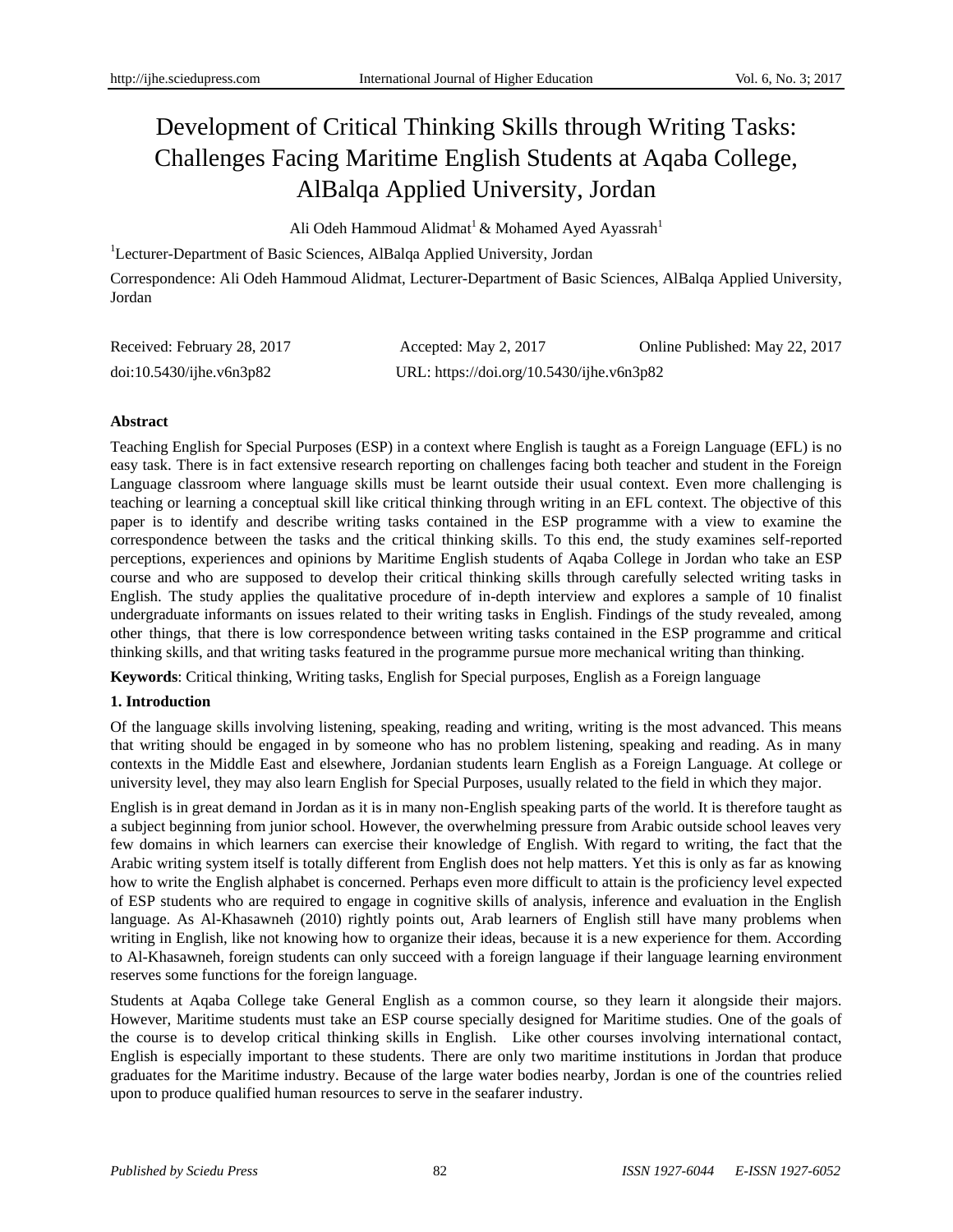# Development of Critical Thinking Skills through Writing Tasks: Challenges Facing Maritime English Students at Aqaba College, AlBalqa Applied University, Jordan

Ali Odeh Hammoud Alidmat<sup>1</sup> & Mohamed Ayed Ayassrah<sup>1</sup>

<sup>1</sup>Lecturer-Department of Basic Sciences, AlBalqa Applied University, Jordan

Correspondence: Ali Odeh Hammoud Alidmat, Lecturer-Department of Basic Sciences, AlBalqa Applied University, Jordan

| Received: February 28, 2017 | Accepted: May 2, 2017                     | Online Published: May 22, 2017 |
|-----------------------------|-------------------------------------------|--------------------------------|
| doi:10.5430/jhe.v6n3p82     | URL: https://doi.org/10.5430/ijhe.v6n3p82 |                                |

## **Abstract**

Teaching English for Special Purposes (ESP) in a context where English is taught as a Foreign Language (EFL) is no easy task. There is in fact extensive research reporting on challenges facing both teacher and student in the Foreign Language classroom where language skills must be learnt outside their usual context. Even more challenging is teaching or learning a conceptual skill like critical thinking through writing in an EFL context. The objective of this paper is to identify and describe writing tasks contained in the ESP programme with a view to examine the correspondence between the tasks and the critical thinking skills. To this end, the study examines self-reported perceptions, experiences and opinions by Maritime English students of Aqaba College in Jordan who take an ESP course and who are supposed to develop their critical thinking skills through carefully selected writing tasks in English. The study applies the qualitative procedure of in-depth interview and explores a sample of 10 finalist undergraduate informants on issues related to their writing tasks in English. Findings of the study revealed, among other things, that there is low correspondence between writing tasks contained in the ESP programme and critical thinking skills, and that writing tasks featured in the programme pursue more mechanical writing than thinking.

**Keywords**: Critical thinking, Writing tasks, English for Special purposes, English as a Foreign language

# **1. Introduction**

Of the language skills involving listening, speaking, reading and writing, writing is the most advanced. This means that writing should be engaged in by someone who has no problem listening, speaking and reading. As in many contexts in the Middle East and elsewhere, Jordanian students learn English as a Foreign Language. At college or university level, they may also learn English for Special Purposes, usually related to the field in which they major.

English is in great demand in Jordan as it is in many non-English speaking parts of the world. It is therefore taught as a subject beginning from junior school. However, the overwhelming pressure from Arabic outside school leaves very few domains in which learners can exercise their knowledge of English. With regard to writing, the fact that the Arabic writing system itself is totally different from English does not help matters. Yet this is only as far as knowing how to write the English alphabet is concerned. Perhaps even more difficult to attain is the proficiency level expected of ESP students who are required to engage in cognitive skills of analysis, inference and evaluation in the English language. As Al-Khasawneh (2010) rightly points out, Arab learners of English still have many problems when writing in English, like not knowing how to organize their ideas, because it is a new experience for them. According to Al-Khasawneh, foreign students can only succeed with a foreign language if their language learning environment reserves some functions for the foreign language.

Students at Aqaba College take General English as a common course, so they learn it alongside their majors. However, Maritime students must take an ESP course specially designed for Maritime studies. One of the goals of the course is to develop critical thinking skills in English. Like other courses involving international contact, English is especially important to these students. There are only two maritime institutions in Jordan that produce graduates for the Maritime industry. Because of the large water bodies nearby, Jordan is one of the countries relied upon to produce qualified human resources to serve in the seafarer industry.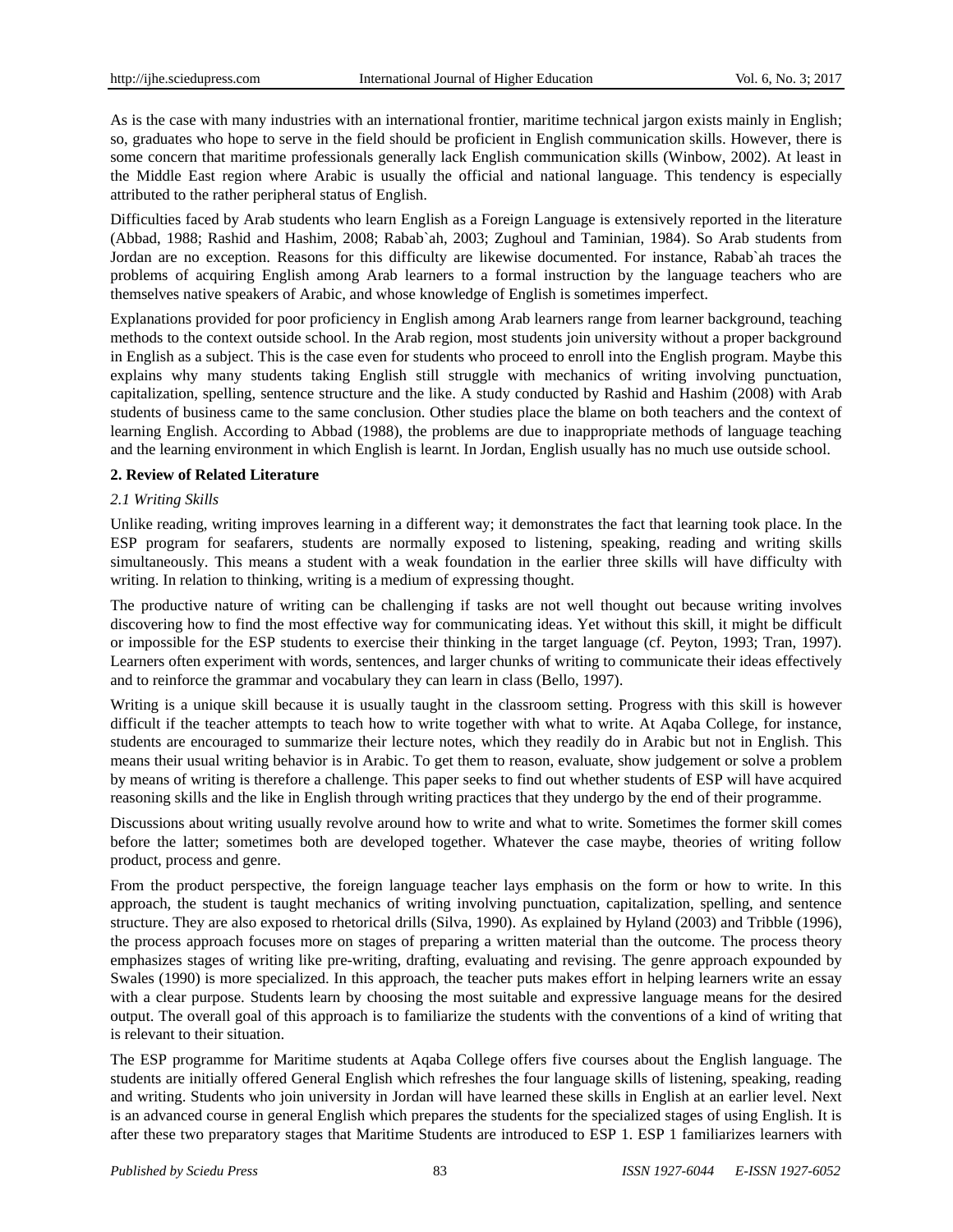As is the case with many industries with an international frontier, maritime technical jargon exists mainly in English; so, graduates who hope to serve in the field should be proficient in English communication skills. However, there is some concern that maritime professionals generally lack English communication skills (Winbow, 2002). At least in the Middle East region where Arabic is usually the official and national language. This tendency is especially attributed to the rather peripheral status of English.

Difficulties faced by Arab students who learn English as a Foreign Language is extensively reported in the literature (Abbad, 1988; Rashid and Hashim, 2008; Rabab`ah, 2003; Zughoul and Taminian, 1984). So Arab students from Jordan are no exception. Reasons for this difficulty are likewise documented. For instance, Rabab`ah traces the problems of acquiring English among Arab learners to a formal instruction by the language teachers who are themselves native speakers of Arabic, and whose knowledge of English is sometimes imperfect.

Explanations provided for poor proficiency in English among Arab learners range from learner background, teaching methods to the context outside school. In the Arab region, most students join university without a proper background in English as a subject. This is the case even for students who proceed to enroll into the English program. Maybe this explains why many students taking English still struggle with mechanics of writing involving punctuation, capitalization, spelling, sentence structure and the like. A study conducted by Rashid and Hashim (2008) with Arab students of business came to the same conclusion. Other studies place the blame on both teachers and the context of learning English. According to Abbad (1988), the problems are due to inappropriate methods of language teaching and the learning environment in which English is learnt. In Jordan, English usually has no much use outside school.

## **2. Review of Related Literature**

## *2.1 Writing Skills*

Unlike reading, writing improves learning in a different way; it demonstrates the fact that learning took place. In the ESP program for seafarers, students are normally exposed to listening, speaking, reading and writing skills simultaneously. This means a student with a weak foundation in the earlier three skills will have difficulty with writing. In relation to thinking, writing is a medium of expressing thought.

The productive nature of writing can be challenging if tasks are not well thought out because writing involves discovering how to find the most effective way for communicating ideas. Yet without this skill, it might be difficult or impossible for the ESP students to exercise their thinking in the target language (cf. Peyton, 1993; Tran, 1997). Learners often experiment with words, sentences, and larger chunks of writing to communicate their ideas effectively and to reinforce the grammar and vocabulary they can learn in class (Bello, 1997).

Writing is a unique skill because it is usually taught in the classroom setting. Progress with this skill is however difficult if the teacher attempts to teach how to write together with what to write. At Aqaba College, for instance, students are encouraged to summarize their lecture notes, which they readily do in Arabic but not in English. This means their usual writing behavior is in Arabic. To get them to reason, evaluate, show judgement or solve a problem by means of writing is therefore a challenge. This paper seeks to find out whether students of ESP will have acquired reasoning skills and the like in English through writing practices that they undergo by the end of their programme.

Discussions about writing usually revolve around how to write and what to write. Sometimes the former skill comes before the latter; sometimes both are developed together. Whatever the case maybe, theories of writing follow product, process and genre.

From the product perspective, the foreign language teacher lays emphasis on the form or how to write. In this approach, the student is taught mechanics of writing involving punctuation, capitalization, spelling, and sentence structure. They are also exposed to rhetorical drills (Silva, 1990). As explained by Hyland (2003) and Tribble (1996), the process approach focuses more on stages of preparing a written material than the outcome. The process theory emphasizes stages of writing like pre-writing, drafting, evaluating and revising. The genre approach expounded by Swales (1990) is more specialized. In this approach, the teacher puts makes effort in helping learners write an essay with a clear purpose. Students learn by choosing the most suitable and expressive language means for the desired output. The overall goal of this approach is to familiarize the students with the conventions of a kind of writing that is relevant to their situation.

The ESP programme for Maritime students at Aqaba College offers five courses about the English language. The students are initially offered General English which refreshes the four language skills of listening, speaking, reading and writing. Students who join university in Jordan will have learned these skills in English at an earlier level. Next is an advanced course in general English which prepares the students for the specialized stages of using English. It is after these two preparatory stages that Maritime Students are introduced to ESP 1. ESP 1 familiarizes learners with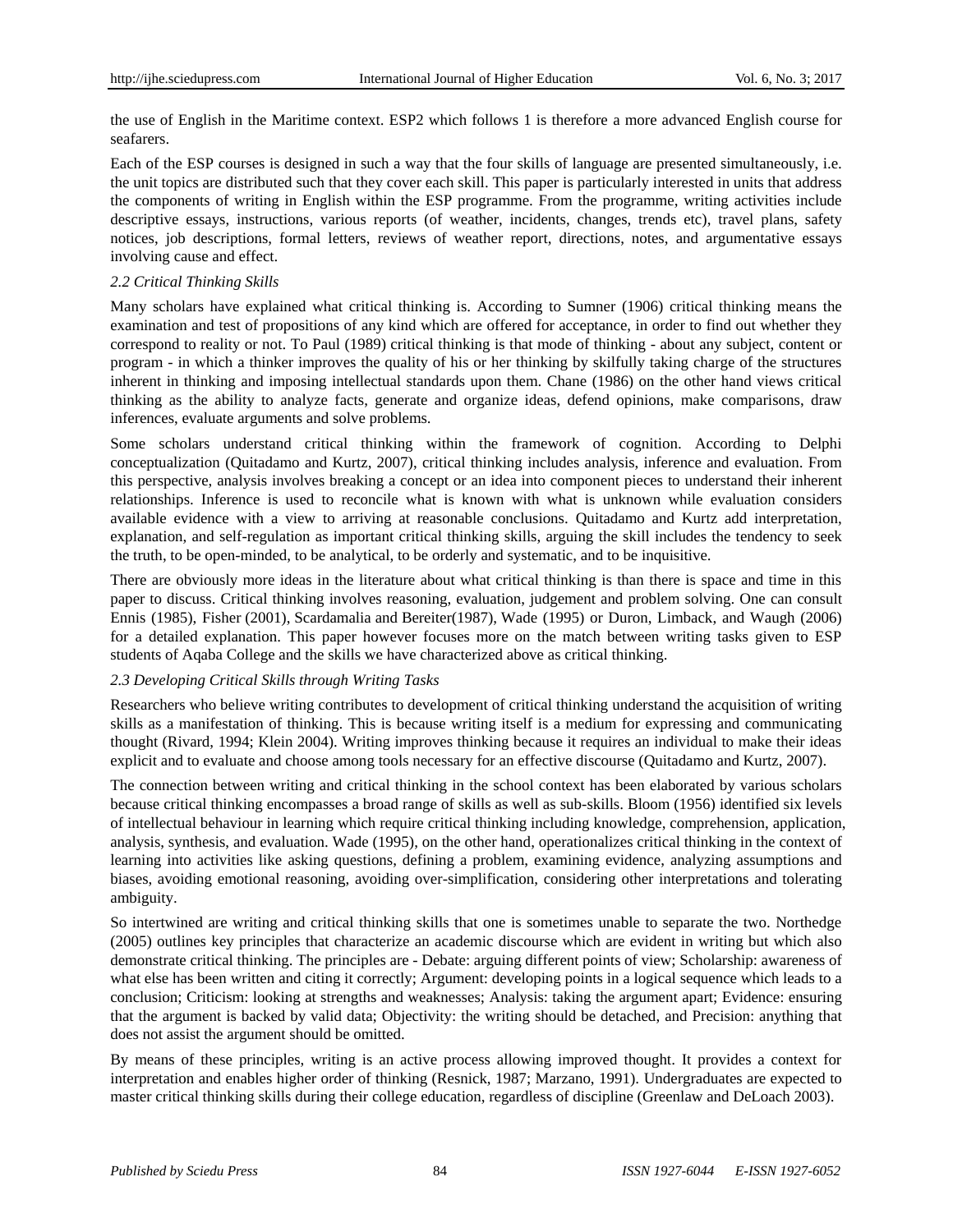the use of English in the Maritime context. ESP2 which follows 1 is therefore a more advanced English course for seafarers.

Each of the ESP courses is designed in such a way that the four skills of language are presented simultaneously, i.e. the unit topics are distributed such that they cover each skill. This paper is particularly interested in units that address the components of writing in English within the ESP programme. From the programme, writing activities include descriptive essays, instructions, various reports (of weather, incidents, changes, trends etc), travel plans, safety notices, job descriptions, formal letters, reviews of weather report, directions, notes, and argumentative essays involving cause and effect.

## *2.2 Critical Thinking Skills*

Many scholars have explained what critical thinking is. According to Sumner (1906) critical thinking means the examination and test of propositions of any kind which are offered for acceptance, in order to find out whether they correspond to reality or not. To Paul (1989) critical thinking is that mode of thinking - about any subject, content or program - in which a thinker improves the quality of his or her thinking by skilfully taking charge of the structures inherent in thinking and imposing intellectual standards upon them. Chane (1986) on the other hand views critical thinking as the ability to analyze facts, generate and organize ideas, defend opinions, make comparisons, draw inferences, evaluate arguments and solve problems.

Some scholars understand critical thinking within the framework of cognition. According to Delphi conceptualization [\(Quitadamo](https://www.ncbi.nlm.nih.gov/pubmed/?term=Quitadamo%20IJ%5BAuthor%5D&cauthor=true&cauthor_uid=17548876) and [Kurtz,](https://www.ncbi.nlm.nih.gov/pubmed/?term=Kurtz%20MJ%5BAuthor%5D&cauthor=true&cauthor_uid=17548876) 2007), critical thinking includes analysis, inference and evaluation. From this perspective, analysis involves breaking a concept or an idea into component pieces to understand their inherent relationships. Inference is used to reconcile what is known with what is unknown while evaluation considers available evidence with a view to arriving at reasonable conclusions. [Quitadamo](https://www.ncbi.nlm.nih.gov/pubmed/?term=Quitadamo%20IJ%5BAuthor%5D&cauthor=true&cauthor_uid=17548876) and [Kurtz](https://www.ncbi.nlm.nih.gov/pubmed/?term=Kurtz%20MJ%5BAuthor%5D&cauthor=true&cauthor_uid=17548876) add interpretation, explanation, and self-regulation as important critical thinking skills, arguing the skill includes the tendency to seek the truth, to be open-minded, to be analytical, to be orderly and systematic, and to be inquisitive.

There are obviously more ideas in the literature about what critical thinking is than there is space and time in this paper to discuss. Critical thinking involves reasoning, evaluation, judgement and problem solving. One can consult Ennis (1985), Fisher (2001), Scardamalia and Bereiter(1987), Wade (1995) or Duron, Limback, and Waugh (2006) for a detailed explanation. This paper however focuses more on the match between writing tasks given to ESP students of Aqaba College and the skills we have characterized above as critical thinking.

## *2.3 Developing Critical Skills through Writing Tasks*

Researchers who believe writing contributes to development of critical thinking understand the acquisition of writing skills as a manifestation of thinking. This is because writing itself is a medium for expressing and communicating thought (Rivard, 1994; Klein 2004). Writing improves thinking because it requires an individual to make their ideas explicit and to evaluate and choose among tools necessary for an effective discourse [\(Quitadamo](https://www.ncbi.nlm.nih.gov/pubmed/?term=Quitadamo%20IJ%5BAuthor%5D&cauthor=true&cauthor_uid=17548876) an[d Kurtz,](https://www.ncbi.nlm.nih.gov/pubmed/?term=Kurtz%20MJ%5BAuthor%5D&cauthor=true&cauthor_uid=17548876) 2007).

The connection between writing and critical thinking in the school context has been elaborated by various scholars because critical thinking encompasses a broad range of skills as well as sub-skills. Bloom (1956) identified six levels of intellectual behaviour in learning which require critical thinking including knowledge, comprehension, application, analysis, synthesis, and evaluation. Wade (1995), on the other hand, operationalizes critical thinking in the context of learning into activities like asking questions, defining a problem, examining evidence, analyzing assumptions and biases, avoiding emotional reasoning, avoiding over-simplification, considering other interpretations and tolerating ambiguity.

So intertwined are writing and critical thinking skills that one is sometimes unable to separate the two. Northedge (2005) outlines key principles that characterize an academic discourse which are evident in writing but which also demonstrate critical thinking. The principles are - Debate: arguing different points of view; Scholarship: awareness of what else has been written and citing it correctly; Argument: developing points in a logical sequence which leads to a conclusion; Criticism: looking at strengths and weaknesses; Analysis: taking the argument apart; Evidence: ensuring that the argument is backed by valid data; Objectivity: the writing should be detached, and Precision: anything that does not assist the argument should be omitted.

By means of these principles, writing is an active process allowing improved thought. It provides a context for interpretation and enables higher order of thinking (Resnick, 1987; Marzano, 1991). Undergraduates are expected to master critical thinking skills during their college education, regardless of discipline (Greenlaw and DeLoach 2003).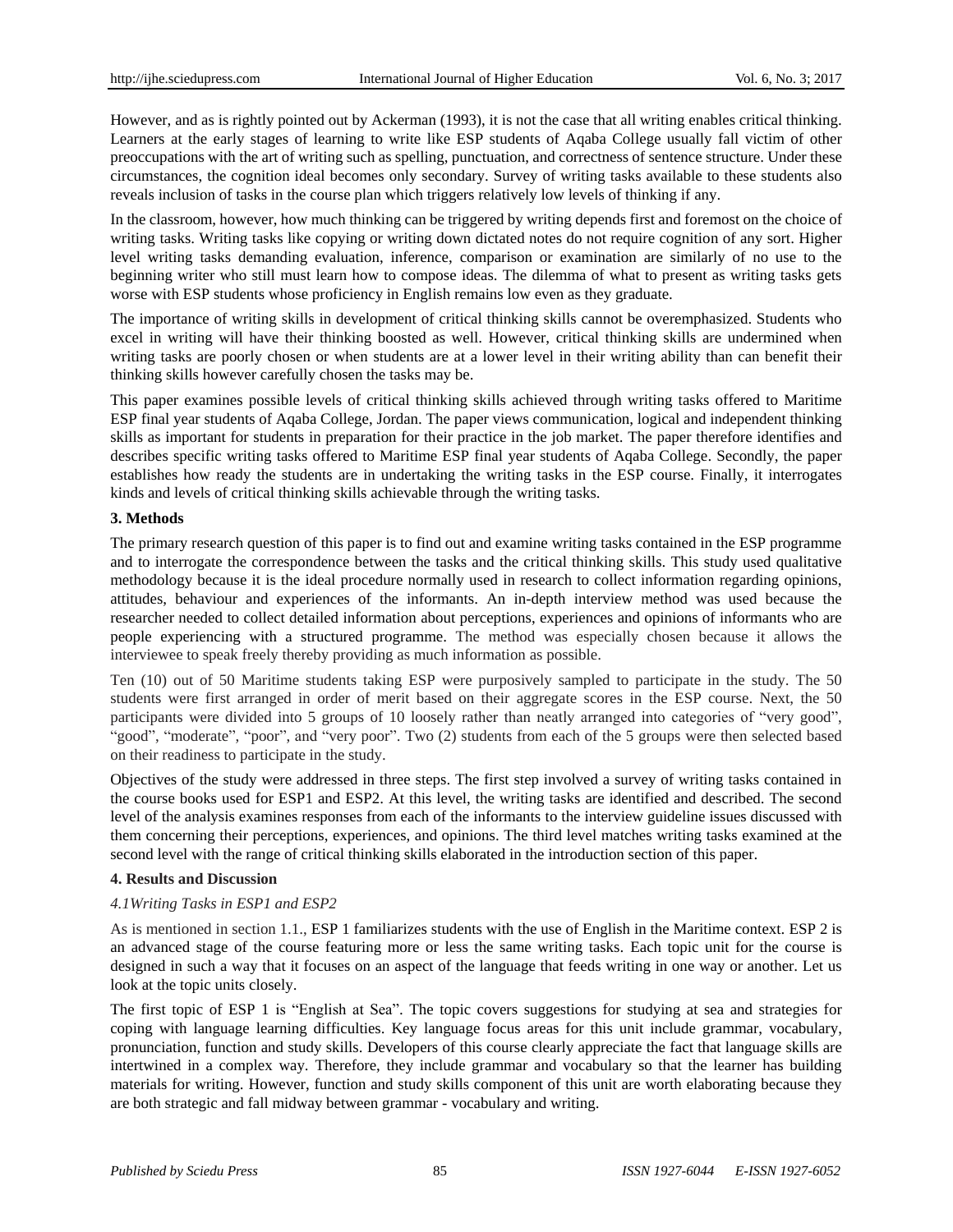However, and as is rightly pointed out by Ackerman (1993), it is not the case that all writing enables critical thinking. Learners at the early stages of learning to write like ESP students of Aqaba College usually fall victim of other preoccupations with the art of writing such as spelling, punctuation, and correctness of sentence structure. Under these circumstances, the cognition ideal becomes only secondary. Survey of writing tasks available to these students also reveals inclusion of tasks in the course plan which triggers relatively low levels of thinking if any.

In the classroom, however, how much thinking can be triggered by writing depends first and foremost on the choice of writing tasks. Writing tasks like copying or writing down dictated notes do not require cognition of any sort. Higher level writing tasks demanding evaluation, inference, comparison or examination are similarly of no use to the beginning writer who still must learn how to compose ideas. The dilemma of what to present as writing tasks gets worse with ESP students whose proficiency in English remains low even as they graduate.

The importance of writing skills in development of critical thinking skills cannot be overemphasized. Students who excel in writing will have their thinking boosted as well. However, critical thinking skills are undermined when writing tasks are poorly chosen or when students are at a lower level in their writing ability than can benefit their thinking skills however carefully chosen the tasks may be.

This paper examines possible levels of critical thinking skills achieved through writing tasks offered to Maritime ESP final year students of Aqaba College, Jordan. The paper views communication, logical and independent thinking skills as important for students in preparation for their practice in the job market. The paper therefore identifies and describes specific writing tasks offered to Maritime ESP final year students of Aqaba College. Secondly, the paper establishes how ready the students are in undertaking the writing tasks in the ESP course. Finally, it interrogates kinds and levels of critical thinking skills achievable through the writing tasks.

## **3. Methods**

The primary research question of this paper is to find out and examine writing tasks contained in the ESP programme and to interrogate the correspondence between the tasks and the critical thinking skills. This study used qualitative methodology because it is the ideal procedure normally used in research to collect information regarding opinions, attitudes, behaviour and experiences of the informants. An in-depth interview method was used because the researcher needed to collect detailed information about perceptions, experiences and opinions of informants who are people experiencing with a structured programme. The method was especially chosen because it allows the interviewee to speak freely thereby providing as much information as possible.

Ten (10) out of 50 Maritime students taking ESP were purposively sampled to participate in the study. The 50 students were first arranged in order of merit based on their aggregate scores in the ESP course. Next, the 50 participants were divided into 5 groups of 10 loosely rather than neatly arranged into categories of "very good", "good", "moderate", "poor", and "very poor". Two (2) students from each of the 5 groups were then selected based on their readiness to participate in the study.

Objectives of the study were addressed in three steps. The first step involved a survey of writing tasks contained in the course books used for ESP1 and ESP2. At this level, the writing tasks are identified and described. The second level of the analysis examines responses from each of the informants to the interview guideline issues discussed with them concerning their perceptions, experiences, and opinions. The third level matches writing tasks examined at the second level with the range of critical thinking skills elaborated in the introduction section of this paper.

#### **4. Results and Discussion**

## *4.1Writing Tasks in ESP1 and ESP2*

As is mentioned in section 1.1., ESP 1 familiarizes students with the use of English in the Maritime context. ESP 2 is an advanced stage of the course featuring more or less the same writing tasks. Each topic unit for the course is designed in such a way that it focuses on an aspect of the language that feeds writing in one way or another. Let us look at the topic units closely.

The first topic of ESP 1 is "English at Sea". The topic covers suggestions for studying at sea and strategies for coping with language learning difficulties. Key language focus areas for this unit include grammar, vocabulary, pronunciation, function and study skills. Developers of this course clearly appreciate the fact that language skills are intertwined in a complex way. Therefore, they include grammar and vocabulary so that the learner has building materials for writing. However, function and study skills component of this unit are worth elaborating because they are both strategic and fall midway between grammar - vocabulary and writing.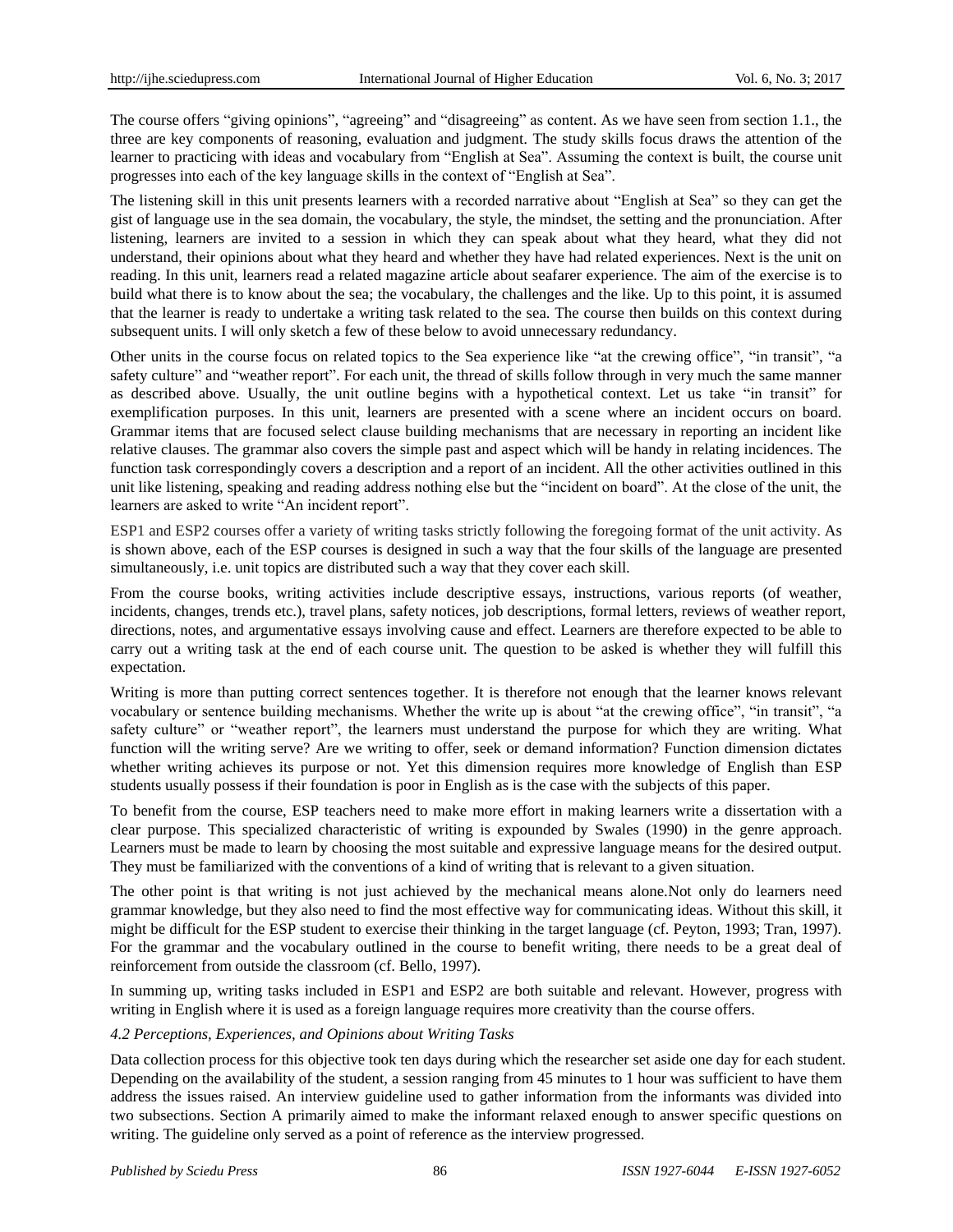The course offers "giving opinions", "agreeing" and "disagreeing" as content. As we have seen from section 1.1., the three are key components of reasoning, evaluation and judgment. The study skills focus draws the attention of the learner to practicing with ideas and vocabulary from "English at Sea". Assuming the context is built, the course unit progresses into each of the key language skills in the context of "English at Sea".

The listening skill in this unit presents learners with a recorded narrative about "English at Sea" so they can get the gist of language use in the sea domain, the vocabulary, the style, the mindset, the setting and the pronunciation. After listening, learners are invited to a session in which they can speak about what they heard, what they did not understand, their opinions about what they heard and whether they have had related experiences. Next is the unit on reading. In this unit, learners read a related magazine article about seafarer experience. The aim of the exercise is to build what there is to know about the sea; the vocabulary, the challenges and the like. Up to this point, it is assumed that the learner is ready to undertake a writing task related to the sea. The course then builds on this context during subsequent units. I will only sketch a few of these below to avoid unnecessary redundancy.

Other units in the course focus on related topics to the Sea experience like "at the crewing office", "in transit", "a safety culture" and "weather report". For each unit, the thread of skills follow through in very much the same manner as described above. Usually, the unit outline begins with a hypothetical context. Let us take "in transit" for exemplification purposes. In this unit, learners are presented with a scene where an incident occurs on board. Grammar items that are focused select clause building mechanisms that are necessary in reporting an incident like relative clauses. The grammar also covers the simple past and aspect which will be handy in relating incidences. The function task correspondingly covers a description and a report of an incident. All the other activities outlined in this unit like listening, speaking and reading address nothing else but the "incident on board". At the close of the unit, the learners are asked to write "An incident report".

ESP1 and ESP2 courses offer a variety of writing tasks strictly following the foregoing format of the unit activity. As is shown above, each of the ESP courses is designed in such a way that the four skills of the language are presented simultaneously, i.e. unit topics are distributed such a way that they cover each skill.

From the course books, writing activities include descriptive essays, instructions, various reports (of weather, incidents, changes, trends etc.), travel plans, safety notices, job descriptions, formal letters, reviews of weather report, directions, notes, and argumentative essays involving cause and effect. Learners are therefore expected to be able to carry out a writing task at the end of each course unit. The question to be asked is whether they will fulfill this expectation.

Writing is more than putting correct sentences together. It is therefore not enough that the learner knows relevant vocabulary or sentence building mechanisms. Whether the write up is about "at the crewing office", "in transit", "a safety culture" or "weather report", the learners must understand the purpose for which they are writing. What function will the writing serve? Are we writing to offer, seek or demand information? Function dimension dictates whether writing achieves its purpose or not. Yet this dimension requires more knowledge of English than ESP students usually possess if their foundation is poor in English as is the case with the subjects of this paper.

To benefit from the course, ESP teachers need to make more effort in making learners write a dissertation with a clear purpose. This specialized characteristic of writing is expounded by Swales (1990) in the genre approach. Learners must be made to learn by choosing the most suitable and expressive language means for the desired output. They must be familiarized with the conventions of a kind of writing that is relevant to a given situation.

The other point is that writing is not just achieved by the mechanical means alone.Not only do learners need grammar knowledge, but they also need to find the most effective way for communicating ideas. Without this skill, it might be difficult for the ESP student to exercise their thinking in the target language (cf. Peyton, 1993; Tran, 1997). For the grammar and the vocabulary outlined in the course to benefit writing, there needs to be a great deal of reinforcement from outside the classroom (cf. Bello, 1997).

In summing up, writing tasks included in ESP1 and ESP2 are both suitable and relevant. However, progress with writing in English where it is used as a foreign language requires more creativity than the course offers.

## *4.2 Perceptions, Experiences, and Opinions about Writing Tasks*

Data collection process for this objective took ten days during which the researcher set aside one day for each student. Depending on the availability of the student, a session ranging from 45 minutes to 1 hour was sufficient to have them address the issues raised. An interview guideline used to gather information from the informants was divided into two subsections. Section A primarily aimed to make the informant relaxed enough to answer specific questions on writing. The guideline only served as a point of reference as the interview progressed.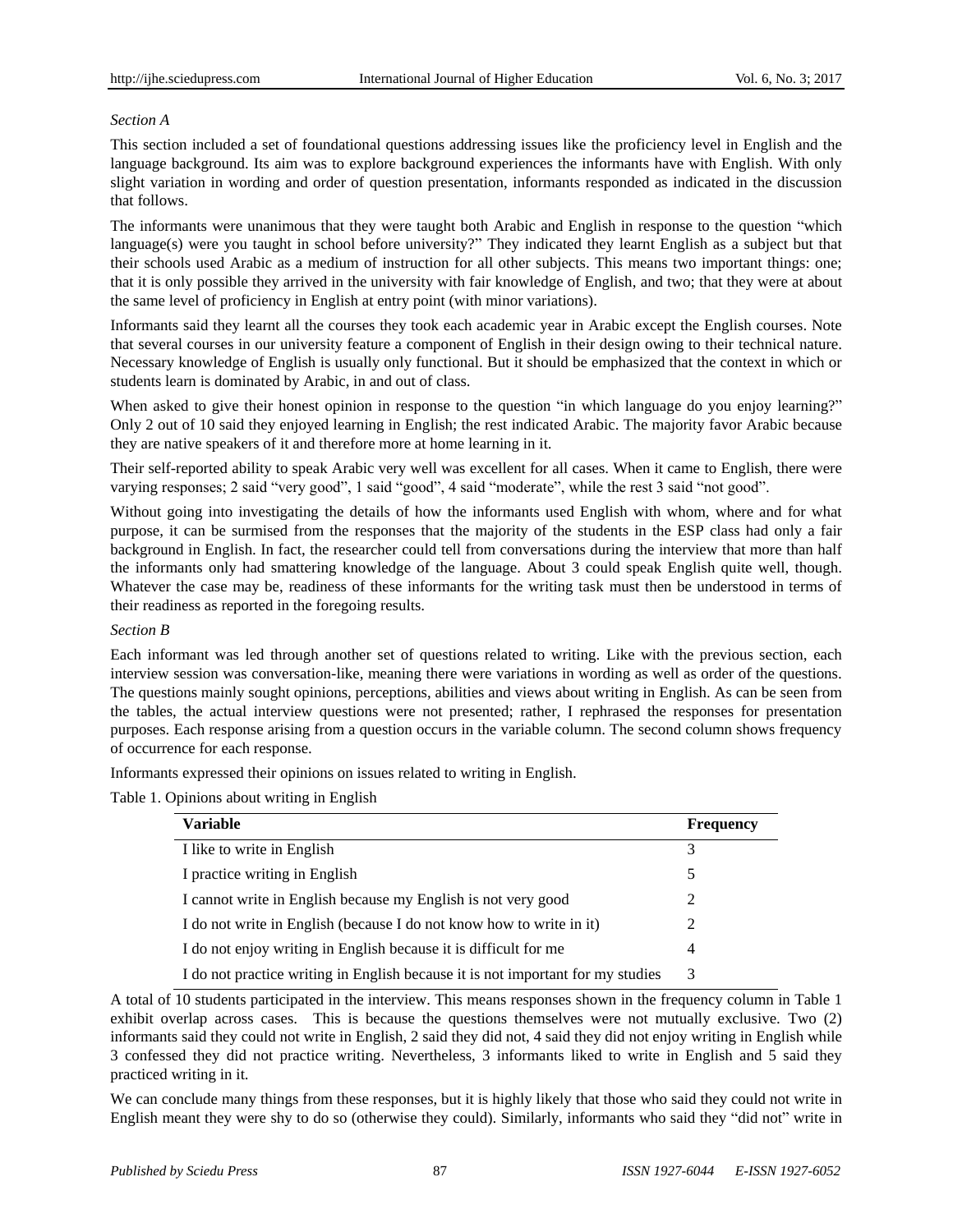## *Section A*

This section included a set of foundational questions addressing issues like the proficiency level in English and the language background. Its aim was to explore background experiences the informants have with English. With only slight variation in wording and order of question presentation, informants responded as indicated in the discussion that follows.

The informants were unanimous that they were taught both Arabic and English in response to the question "which language(s) were you taught in school before university?" They indicated they learnt English as a subject but that their schools used Arabic as a medium of instruction for all other subjects. This means two important things: one; that it is only possible they arrived in the university with fair knowledge of English, and two; that they were at about the same level of proficiency in English at entry point (with minor variations).

Informants said they learnt all the courses they took each academic year in Arabic except the English courses. Note that several courses in our university feature a component of English in their design owing to their technical nature. Necessary knowledge of English is usually only functional. But it should be emphasized that the context in which or students learn is dominated by Arabic, in and out of class.

When asked to give their honest opinion in response to the question "in which language do you enjoy learning?" Only 2 out of 10 said they enjoyed learning in English; the rest indicated Arabic. The majority favor Arabic because they are native speakers of it and therefore more at home learning in it.

Their self-reported ability to speak Arabic very well was excellent for all cases. When it came to English, there were varying responses; 2 said "very good", 1 said "good", 4 said "moderate", while the rest 3 said "not good".

Without going into investigating the details of how the informants used English with whom, where and for what purpose, it can be surmised from the responses that the majority of the students in the ESP class had only a fair background in English. In fact, the researcher could tell from conversations during the interview that more than half the informants only had smattering knowledge of the language. About 3 could speak English quite well, though. Whatever the case may be, readiness of these informants for the writing task must then be understood in terms of their readiness as reported in the foregoing results.

#### *Section B*

Each informant was led through another set of questions related to writing. Like with the previous section, each interview session was conversation-like, meaning there were variations in wording as well as order of the questions. The questions mainly sought opinions, perceptions, abilities and views about writing in English. As can be seen from the tables, the actual interview questions were not presented; rather, I rephrased the responses for presentation purposes. Each response arising from a question occurs in the variable column. The second column shows frequency of occurrence for each response.

Informants expressed their opinions on issues related to writing in English.

Table 1. Opinions about writing in English

| <b>Variable</b>                                                                 | <b>Frequency</b> |
|---------------------------------------------------------------------------------|------------------|
| I like to write in English                                                      | 3                |
| I practice writing in English                                                   | 5                |
| I cannot write in English because my English is not very good                   |                  |
| I do not write in English (because I do not know how to write in it)            | 2                |
| I do not enjoy writing in English because it is difficult for me                | 4                |
| I do not practice writing in English because it is not important for my studies | 3                |

A total of 10 students participated in the interview. This means responses shown in the frequency column in Table 1 exhibit overlap across cases. This is because the questions themselves were not mutually exclusive. Two (2) informants said they could not write in English, 2 said they did not, 4 said they did not enjoy writing in English while 3 confessed they did not practice writing. Nevertheless, 3 informants liked to write in English and 5 said they practiced writing in it.

We can conclude many things from these responses, but it is highly likely that those who said they could not write in English meant they were shy to do so (otherwise they could). Similarly, informants who said they "did not" write in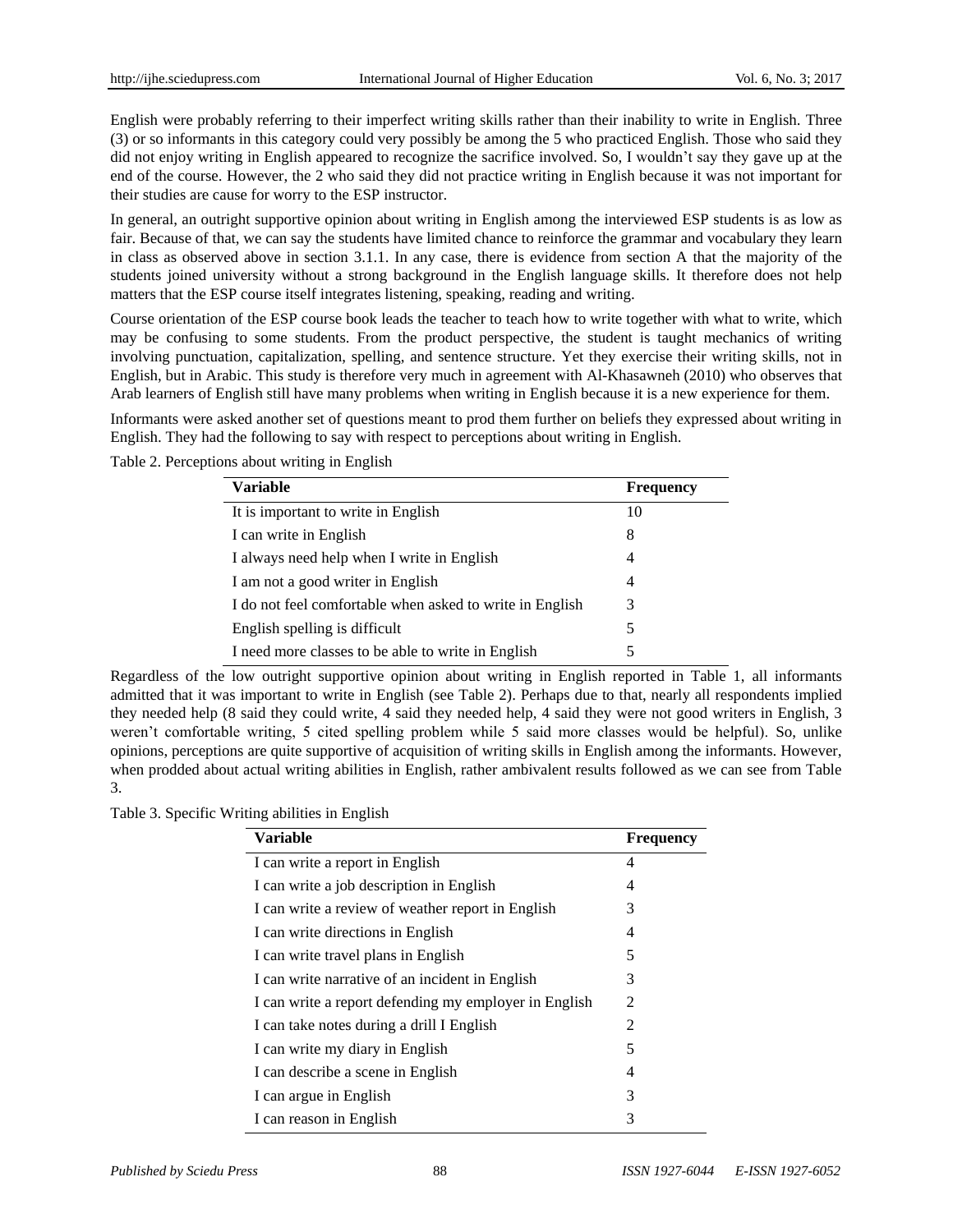English were probably referring to their imperfect writing skills rather than their inability to write in English. Three (3) or so informants in this category could very possibly be among the 5 who practiced English. Those who said they did not enjoy writing in English appeared to recognize the sacrifice involved. So, I wouldn't say they gave up at the end of the course. However, the 2 who said they did not practice writing in English because it was not important for their studies are cause for worry to the ESP instructor.

In general, an outright supportive opinion about writing in English among the interviewed ESP students is as low as fair. Because of that, we can say the students have limited chance to reinforce the grammar and vocabulary they learn in class as observed above in section 3.1.1. In any case, there is evidence from section A that the majority of the students joined university without a strong background in the English language skills. It therefore does not help matters that the ESP course itself integrates listening, speaking, reading and writing.

Course orientation of the ESP course book leads the teacher to teach how to write together with what to write, which may be confusing to some students. From the product perspective, the student is taught mechanics of writing involving punctuation, capitalization, spelling, and sentence structure. Yet they exercise their writing skills, not in English, but in Arabic. This study is therefore very much in agreement with Al-Khasawneh (2010) who observes that Arab learners of English still have many problems when writing in English because it is a new experience for them.

Informants were asked another set of questions meant to prod them further on beliefs they expressed about writing in English. They had the following to say with respect to perceptions about writing in English.

| <b>Variable</b>                                          | <b>Frequency</b> |
|----------------------------------------------------------|------------------|
| It is important to write in English                      | 10               |
| I can write in English                                   | 8                |
| I always need help when I write in English               | 4                |
| I am not a good writer in English                        | 4                |
| I do not feel comfortable when asked to write in English | 3                |
| English spelling is difficult                            | 5                |
| I need more classes to be able to write in English       |                  |

Table 2. Perceptions about writing in English

Regardless of the low outright supportive opinion about writing in English reported in Table 1, all informants admitted that it was important to write in English (see Table 2). Perhaps due to that, nearly all respondents implied they needed help (8 said they could write, 4 said they needed help, 4 said they were not good writers in English, 3 weren't comfortable writing, 5 cited spelling problem while 5 said more classes would be helpful). So, unlike opinions, perceptions are quite supportive of acquisition of writing skills in English among the informants. However, when prodded about actual writing abilities in English, rather ambivalent results followed as we can see from Table 3.

Table 3. Specific Writing abilities in English

| <b>Variable</b>                                       | <b>Frequency</b> |
|-------------------------------------------------------|------------------|
| I can write a report in English                       | 4                |
| I can write a job description in English              | 4                |
| I can write a review of weather report in English     | 3                |
| I can write directions in English                     | 4                |
| I can write travel plans in English                   | 5                |
| I can write narrative of an incident in English       | 3                |
| I can write a report defending my employer in English | 2                |
| I can take notes during a drill I English             | $\mathfrak{D}$   |
| I can write my diary in English                       | 5                |
| I can describe a scene in English                     | 4                |
| I can argue in English                                | 3                |
| I can reason in English                               | 3                |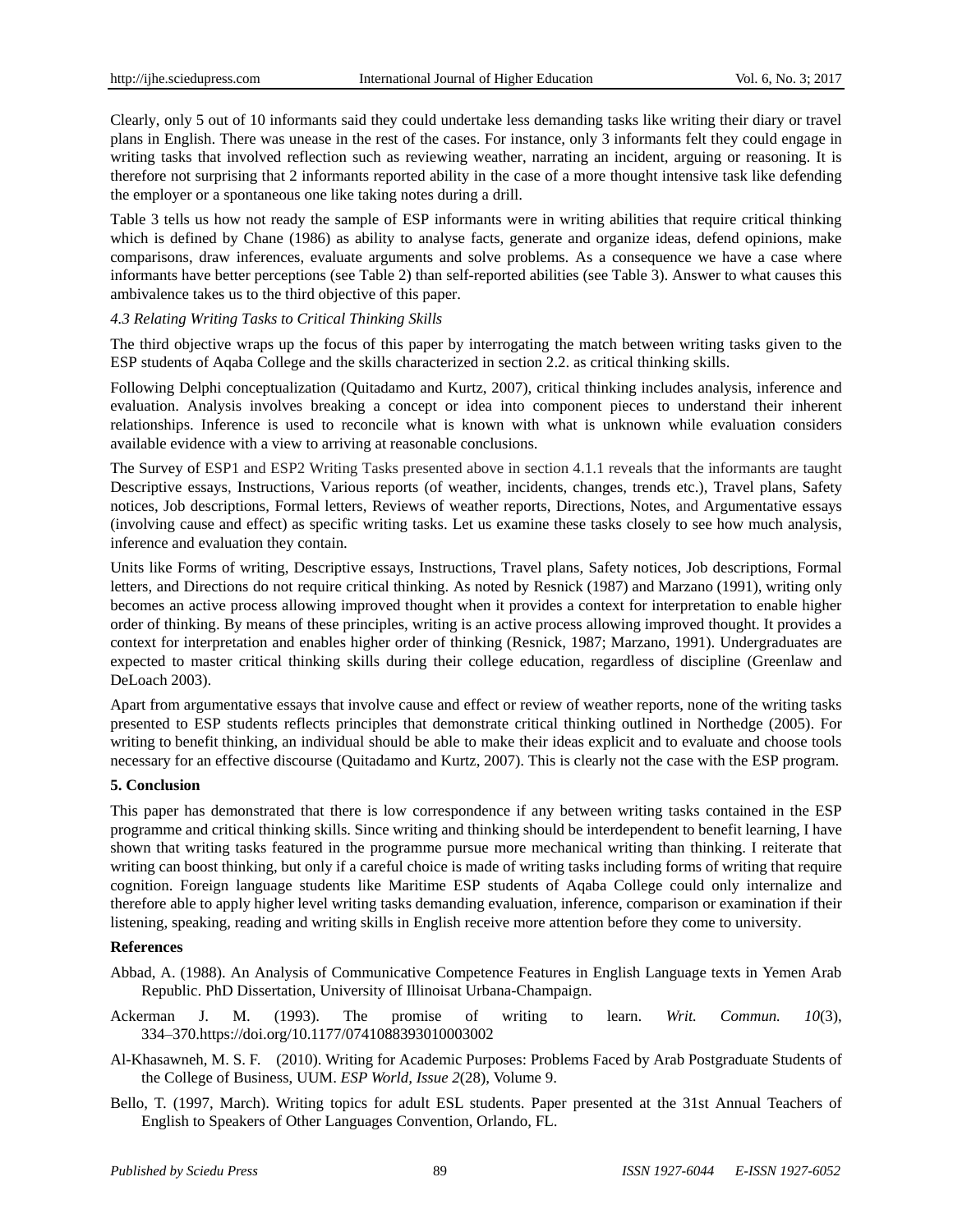Clearly, only 5 out of 10 informants said they could undertake less demanding tasks like writing their diary or travel plans in English. There was unease in the rest of the cases. For instance, only 3 informants felt they could engage in writing tasks that involved reflection such as reviewing weather, narrating an incident, arguing or reasoning. It is therefore not surprising that 2 informants reported ability in the case of a more thought intensive task like defending the employer or a spontaneous one like taking notes during a drill.

Table 3 tells us how not ready the sample of ESP informants were in writing abilities that require critical thinking which is defined by Chane (1986) as ability to analyse facts, generate and organize ideas, defend opinions, make comparisons, draw inferences, evaluate arguments and solve problems. As a consequence we have a case where informants have better perceptions (see Table 2) than self-reported abilities (see Table 3). Answer to what causes this ambivalence takes us to the third objective of this paper.

## *4.3 Relating Writing Tasks to Critical Thinking Skills*

The third objective wraps up the focus of this paper by interrogating the match between writing tasks given to the ESP students of Aqaba College and the skills characterized in section 2.2. as critical thinking skills.

Following Delphi conceptualization [\(Quitadamo](https://www.ncbi.nlm.nih.gov/pubmed/?term=Quitadamo%20IJ%5BAuthor%5D&cauthor=true&cauthor_uid=17548876) and [Kurtz,](https://www.ncbi.nlm.nih.gov/pubmed/?term=Kurtz%20MJ%5BAuthor%5D&cauthor=true&cauthor_uid=17548876) 2007), critical thinking includes analysis, inference and evaluation. Analysis involves breaking a concept or idea into component pieces to understand their inherent relationships. Inference is used to reconcile what is known with what is unknown while evaluation considers available evidence with a view to arriving at reasonable conclusions.

The Survey of ESP1 and ESP2 Writing Tasks presented above in section 4.1.1 reveals that the informants are taught Descriptive essays, Instructions, Various reports (of weather, incidents, changes, trends etc.), Travel plans, Safety notices, Job descriptions, Formal letters, Reviews of weather reports, Directions, Notes, and Argumentative essays (involving cause and effect) as specific writing tasks. Let us examine these tasks closely to see how much analysis, inference and evaluation they contain.

Units like Forms of writing, Descriptive essays, Instructions, Travel plans, Safety notices, Job descriptions, Formal letters, and Directions do not require critical thinking. As noted by Resnick (1987) and Marzano (1991), writing only becomes an active process allowing improved thought when it provides a context for interpretation to enable higher order of thinking. By means of these principles, writing is an active process allowing improved thought. It provides a context for interpretation and enables higher order of thinking (Resnick, 1987; Marzano, 1991). Undergraduates are expected to master critical thinking skills during their college education, regardless of discipline (Greenlaw and DeLoach 2003).

Apart from argumentative essays that involve cause and effect or review of weather reports, none of the writing tasks presented to ESP students reflects principles that demonstrate critical thinking outlined in Northedge (2005). For writing to benefit thinking, an individual should be able to make their ideas explicit and to evaluate and choose tools necessary for an effective discourse [\(Quitadamo](https://www.ncbi.nlm.nih.gov/pubmed/?term=Quitadamo%20IJ%5BAuthor%5D&cauthor=true&cauthor_uid=17548876) and [Kurtz,](https://www.ncbi.nlm.nih.gov/pubmed/?term=Kurtz%20MJ%5BAuthor%5D&cauthor=true&cauthor_uid=17548876) 2007). This is clearly not the case with the ESP program.

#### **5. Conclusion**

This paper has demonstrated that there is low correspondence if any between writing tasks contained in the ESP programme and critical thinking skills. Since writing and thinking should be interdependent to benefit learning, I have shown that writing tasks featured in the programme pursue more mechanical writing than thinking. I reiterate that writing can boost thinking, but only if a careful choice is made of writing tasks including forms of writing that require cognition. Foreign language students like Maritime ESP students of Aqaba College could only internalize and therefore able to apply higher level writing tasks demanding evaluation, inference, comparison or examination if their listening, speaking, reading and writing skills in English receive more attention before they come to university.

## **References**

- Abbad, A. (1988). An Analysis of Communicative Competence Features in English Language texts in Yemen Arab Republic. PhD Dissertation, University of Illinoisat Urbana-Champaign.
- Ackerman J. M. (1993). The promise of writing to learn. *Writ. Commun. 10*(3), 334–370[.https://doi.org/10.1177/0741088393010003002](https://doi.org/10.1177/0741088393010003002)
- Al-Khasawneh, M. S. F. (2010). Writing for Academic Purposes: Problems Faced by Arab Postgraduate Students of the College of Business, UUM. *ESP World, Issue 2*(28), Volume 9.
- Bello, T. (1997, March). Writing topics for adult ESL students. Paper presented at the 31st Annual Teachers of English to Speakers of Other Languages Convention, Orlando, FL.